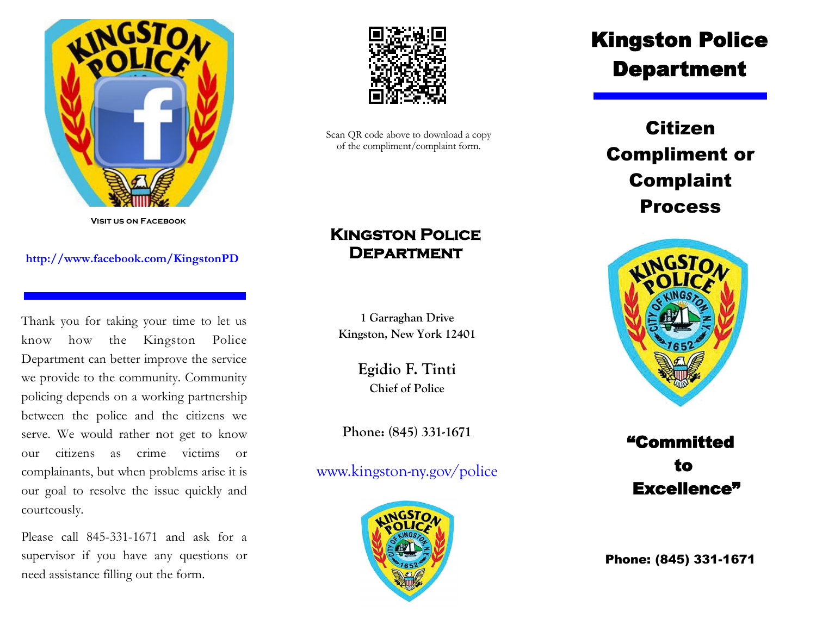

**Visit us on Facebook**

## **http://www.facebook.com/KingstonPD**

Thank you for taking your time to let us know how the Kingston Police Department can better improve the service we provide to the community. Community policing depends on a working partnership between the police and the citizens we serve. We would rather not get to know our citizens as crime victims or complainants, but when problems arise it is our goal to resolve the issue quickly and courteously.

Please call 845-331-1671 and ask for a supervisor if you have any questions or need assistance filling out the form.



Scan QR code above to download a copy of the compliment/complaint form.

## **Kingston Police Department**

**1 Garraghan Drive Kingston, New York 12401**

> **Egidio F. Tinti Chief of Police**

**Phone: (845) 331-1671**

www.kingston-ny.gov/police



## Kingston Police Department

Citizen Compliment or Complaint Process



"Committed to Excellence"

Phone: (845) 331-1671